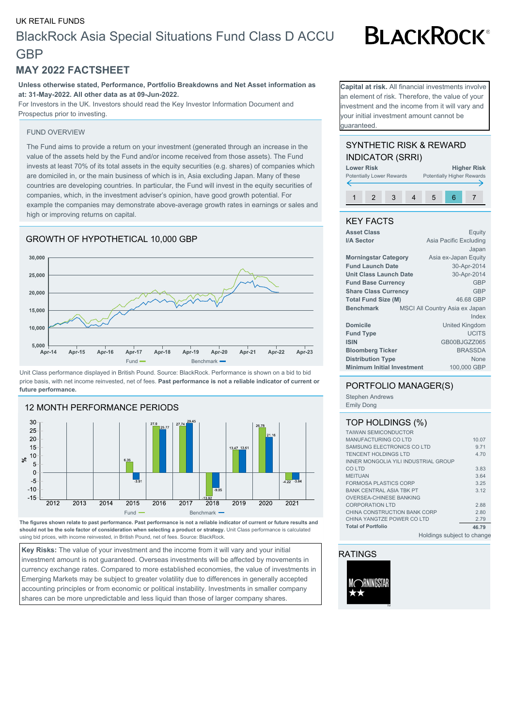# UK RETAIL FUNDS

# BlackRock Asia Special Situations Fund Class D ACCU **GBP**

# **MAY 2022 FACTSHEET**

**Unless otherwise stated, Performance, Portfolio Breakdowns and Net Asset information as at: 31-May-2022. All other data as at 09-Jun-2022.**

For Investors in the UK. Investors should read the Key Investor Information Document and Prospectus prior to investing.

### FUND OVERVIEW

The Fund aims to provide a return on your investment (generated through an increase in the value of the assets held by the Fund and/or income received from those assets). The Fund invests at least 70% of its total assets in the equity securities (e.g. shares) of companies which are domiciled in, or the main business of which is in, Asia excluding Japan. Many of these countries are developing countries. In particular, the Fund will invest in the equity securities of companies, which, in the investment adviser's opinion, have good growth potential. For example the companies may demonstrate above-average growth rates in earnings or sales and high or improving returns on capital.

# GROWTH OF HYPOTHETICAL 10,000 GBP



Unit Class performance displayed in British Pound. Source: BlackRock. Performance is shown on a bid to bid price basis, with net income reinvested, net of fees. **Past performance is not a reliable indicator of current or future performance.**



**The figures shown relate to past performance. Past performance is not a reliable indicator of current or future results and should not be the sole factor of consideration when selecting a product or strategy.** Unit Class performance is calculated using bid prices, with income reinvested, in British Pound, net of fees. Source: BlackRock.

**Key Risks:** The value of your investment and the income from it will vary and your initial investment amount is not guaranteed. Overseas investments will be affected by movements in currency exchange rates. Compared to more established economies, the value of investments in Emerging Markets may be subject to greater volatility due to differences in generally accepted accounting principles or from economic or political instability. Investments in smaller company shares can be more unpredictable and less liquid than those of larger company shares.

**Capital at risk.** All financial investments involve an element of risk. Therefore, the value of your nvestment and the income from it will vary and your initial investment amount cannot be guaranteed.

# SYNTHETIC RISK & REWARD INDICATOR (SRRI)



# KEY FACTS

| <b>Asset Class</b>                | Equity                         |
|-----------------------------------|--------------------------------|
| I/A Sector                        | Asia Pacific Excluding         |
|                                   | Japan                          |
| <b>Morningstar Category</b>       | Asia ex-Japan Equity           |
| <b>Fund Launch Date</b>           | 30-Apr-2014                    |
| Unit Class Launch Date            | 30-Apr-2014                    |
| <b>Fund Base Currency</b>         | <b>GBP</b>                     |
| <b>Share Class Currency</b>       | <b>GBP</b>                     |
| <b>Total Fund Size (M)</b>        | 46.68 GBP                      |
| <b>Benchmark</b>                  | MSCI All Country Asia ex Japan |
|                                   | Index                          |
| <b>Domicile</b>                   | <b>United Kingdom</b>          |
| <b>Fund Type</b>                  | <b>UCITS</b>                   |
| <b>ISIN</b>                       | GB00BJGZZ065                   |
| <b>Bloomberg Ticker</b>           | <b>BRASSDA</b>                 |
| <b>Distribution Type</b>          | None                           |
| <b>Minimum Initial Investment</b> | 100,000 GBP                    |
|                                   |                                |

# PORTFOLIO MANAGER(S)

Stephen Andrews Emily Dong

# TOP HOLDINGS (%)

| <b>TAIWAN SEMICONDUCTOR</b>          |       |
|--------------------------------------|-------|
| <b>MANUFACTURING COLTD</b>           | 10.07 |
|                                      |       |
| SAMSUNG ELECTRONICS CO LTD           | 9.71  |
| <b>TENCENT HOLDINGS LTD</b>          | 4.70  |
| INNER MONGOLIA YILI INDUSTRIAL GROUP |       |
| CO LTD                               | 3.83  |
| <b>MEITUAN</b>                       | 3.64  |
| <b>FORMOSA PLASTICS CORP</b>         | 3.25  |
| <b>BANK CENTRAL ASIA TBK PT</b>      | 3.12  |
| <b>OVERSEA-CHINESE BANKING</b>       |       |
| <b>CORPORATION LTD</b>               | 2.88  |
| CHINA CONSTRUCTION BANK CORP         | 2.80  |
| CHINA YANGTZE POWER CO LTD           | 2.79  |
| <b>Total of Portfolio</b>            | 46.79 |
| Holdings subject to change           |       |

# RATINGS



# **BLACKROCK®**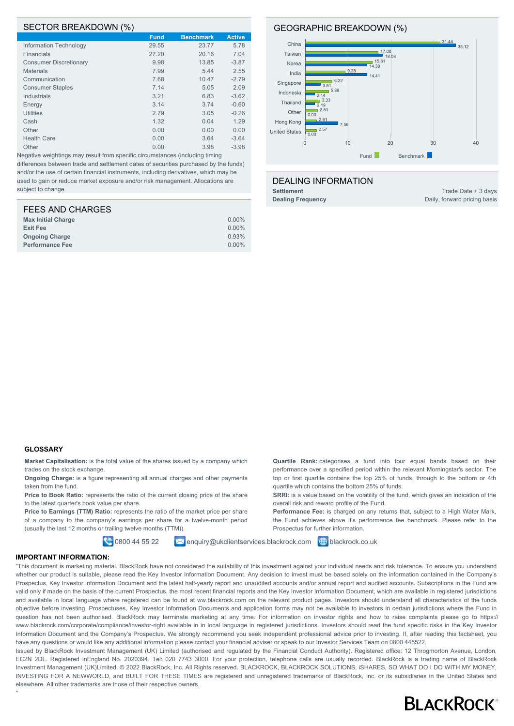### SECTOR BREAKDOWN (%)

|                               | <b>Fund</b> | <b>Benchmark</b> | <b>Active</b> |
|-------------------------------|-------------|------------------|---------------|
| Information Technology        | 29.55       | 23.77            | 5.78          |
| Financials                    | 27.20       | 20.16            | 7.04          |
| <b>Consumer Discretionary</b> | 9.98        | 13.85            | $-3.87$       |
| <b>Materials</b>              | 7.99        | 5.44             | 2.55          |
| Communication                 | 7.68        | 10.47            | $-2.79$       |
| <b>Consumer Staples</b>       | 7.14        | 5.05             | 2.09          |
| <b>Industrials</b>            | 3.21        | 6.83             | $-3.62$       |
| Energy                        | 3.14        | 3.74             | $-0.60$       |
| <b>Utilities</b>              | 2.79        | 3.05             | $-0.26$       |
| Cash                          | 1.32        | 0.04             | 1.29          |
| Other                         | 0.00        | 0.00             | 0.00          |
| <b>Health Care</b>            | 0.00        | 3.64             | $-3.64$       |
| Other                         | 0.00        | 3.98             | $-3.98$       |

Negative weightings may result from specific circumstances (including timing differences between trade and settlement dates of securities purchased by the funds) and/or the use of certain financial instruments, including derivatives, which may be used to gain or reduce market exposure and/or risk management. Allocations are subject to change

| FEES AND CHARGES          |          |
|---------------------------|----------|
| <b>Max Initial Charge</b> | $0.00\%$ |
| <b>Exit Fee</b>           | $0.00\%$ |
| <b>Ongoing Charge</b>     | 0.93%    |
| <b>Performance Fee</b>    | $0.00\%$ |

### GEOGRAPHIC BREAKDOWN (%)



### DEALING INFORMATION

**Settlement** Trade Date + 3 days

**Dealing Frequency** Daily, forward pricing basis

# **GLOSSARY**

**Market Capitalisation:** is the total value of the shares issued by a company which trades on the stock exchange.

**Ongoing Charge:** is a figure representing all annual charges and other payments taken from the fund.

**Price to Book Ratio:** represents the ratio of the current closing price of the share to the latest quarter's book value per share.

Price to Earnings (TTM) Ratio: represents the ratio of the market price per share of a company to the company's earnings per share for a twelve-month period (usually the last 12 months or trailing twelve months (TTM)).

**Quartile Rank:** categorises a fund into four equal bands based on their performance over a specified period within the relevant Morningstar's sector. The top or first quartile contains the top 25% of funds, through to the bottom or 4th quartile which contains the bottom 25% of funds.

**SRRI:** is a value based on the volatility of the fund, which gives an indication of the overall risk and reward profile of the Fund.

**Performance Fee:** is charged on any returns that, subject to a High Water Mark, the Fund achieves above it's performance fee benchmark. Please refer to the Prospectus for further information.

**0800 44 55 22 M** enquiry@ukclientservices.blackrock.com **+** blackrock.co.uk

#### **IMPORTANT INFORMATION:**

"

"This document is marketing material. BlackRock have not considered the suitability of this investment against your individual needs and risk tolerance. To ensure you understand whether our product is suitable, please read the Key Investor Information Document. Any decision to invest must be based solely on the information contained in the Company's Prospectus, Key Investor Information Document and the latest half-yearly report and unaudited accounts and/or annual report and audited accounts. Subscriptions in the Fund are valid only if made on the basis of the current Prospectus, the most recent financial reports and the Key Investor Information Document, which are available in registered jurisdictions and available in local language where registered can be found at ww.blackrock.com on the relevant product pages. Investors should understand all characteristics of the funds objective before investing. Prospectuses, Key Investor Information Documents and application forms may not be available to investors in certain jurisdictions where the Fund in question has not been authorised. BlackRock may terminate marketing at any time. For information on investor rights and how to raise complaints please go to https:// www.blackrock.com/corporate/compliance/investor-right available in in local language in registered jurisdictions. Investors should read the fund specific risks in the Key Investor Information Document and the Company's Prospectus. We strongly recommend you seek independent professional advice prior to investing. If, after reading this factsheet, you have any questions or would like any additional information please contact your financial adviser or speak to our Investor Services Team on 0800 445522.

Issued by BlackRock Investment Management (UK) Limited (authorised and regulated by the Financial Conduct Authority). Registered office: 12 Throgmorton Avenue, London, EC2N 2DL. Registered inEngland No. 2020394. Tel: 020 7743 3000. For your protection, telephone calls are usually recorded. BlackRock is a trading name of BlackRock Investment Management (UK)Limited. © 2022 BlackRock, Inc. All Rights reserved. BLACKROCK, BLACKROCK SOLUTIONS, iSHARES, SO WHAT DO I DO WITH MY MONEY, INVESTING FOR A NEWWORLD, and BUILT FOR THESE TIMES are registered and unregistered trademarks of BlackRock, Inc. or its subsidiaries in the United States and elsewhere. All other trademarks are those of their respective owners.